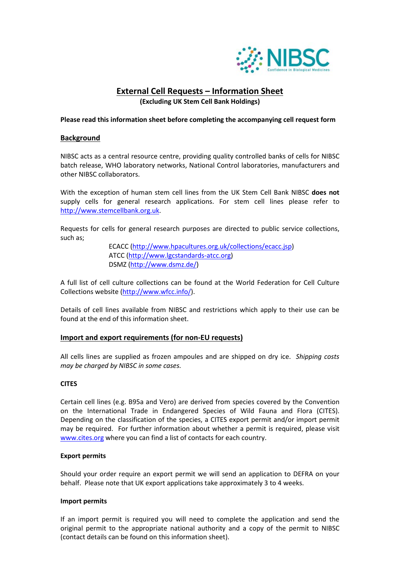

# **External Cell Requests – Information Sheet**

**(Excluding UK Stem Cell Bank Holdings)**

#### **Please read this information sheet before completing the accompanying cell request form**

### **Background**

NIBSC acts as a central resource centre, providing quality controlled banks of cells for NIBSC batch release, WHO laboratory networks, National Control laboratories, manufacturers and other NIBSC collaborators.

With the exception of human stem cell lines from the UK Stem Cell Bank NIBSC **does not** supply cells for general research applications. For stem cell lines please refer to [http://www.stemcellbank.org.uk.](http://www.stemcellbank.org.uk/)

Requests for cells for general research purposes are directed to public service collections, such as;

> ECACC [\(http://www.hpacultures.org.uk/collections/ecacc.jsp\)](http://www.hpacultures.org.uk/collections/ecacc.jsp) ATCC [\(http://www.lgcstandards-atcc.org\)](http://www.lgcstandards-atcc.org/) DSMZ [\(http://www.dsmz.de/\)](http://www.dsmz.de/)

A full list of cell culture collections can be found at the World Federation for Cell Culture Collections website [\(http://www.wfcc.info/\)](http://www.wfcc.info/).

Details of cell lines available from NIBSC and restrictions which apply to their use can be found at the end of this information sheet.

#### **Import and export requirements (for non-EU requests)**

All cells lines are supplied as frozen ampoules and are shipped on dry ice. *Shipping costs may be charged by NIBSC in some cases.*

#### **CITES**

Certain cell lines (e.g. B95a and Vero) are derived from species covered by the Convention on the International Trade in Endangered Species of Wild Fauna and Flora (CITES). Depending on the classification of the species, a CITES export permit and/or import permit may be required. For further information about whether a permit is required, please visit [www.cites.org](http://www.cites.org/) where you can find a list of contacts for each country.

#### **Export permits**

Should your order require an export permit we will send an application to DEFRA on your behalf. Please note that UK export applications take approximately 3 to 4 weeks.

#### **Import permits**

If an import permit is required you will need to complete the application and send the original permit to the appropriate national authority and a copy of the permit to NIBSC (contact details can be found on this information sheet).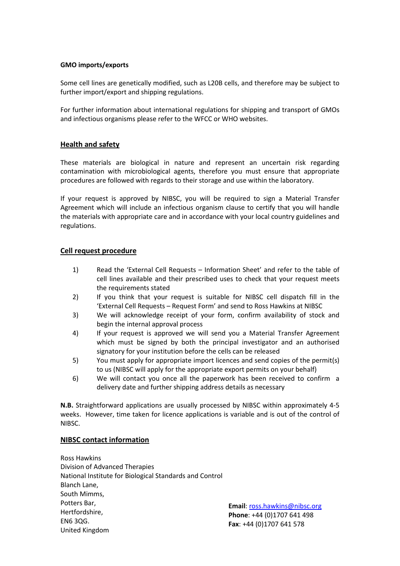#### **GMO imports/exports**

Some cell lines are genetically modified, such as L20B cells, and therefore may be subject to further import/export and shipping regulations.

For further information about international regulations for shipping and transport of GMOs and infectious organisms please refer to the WFCC or WHO websites.

# **Health and safety**

These materials are biological in nature and represent an uncertain risk regarding contamination with microbiological agents, therefore you must ensure that appropriate procedures are followed with regards to their storage and use within the laboratory.

If your request is approved by NIBSC, you will be required to sign a Material Transfer Agreement which will include an infectious organism clause to certify that you will handle the materials with appropriate care and in accordance with your local country guidelines and regulations.

# **Cell request procedure**

- 1) Read the 'External Cell Requests Information Sheet' and refer to the table of cell lines available and their prescribed uses to check that your request meets the requirements stated
- 2) If you think that your request is suitable for NIBSC cell dispatch fill in the 'External Cell Requests – Request Form' and send to Ross Hawkins at NIBSC
- 3) We will acknowledge receipt of your form, confirm availability of stock and begin the internal approval process
- 4) If your request is approved we will send you a Material Transfer Agreement which must be signed by both the principal investigator and an authorised signatory for your institution before the cells can be released
- 5) You must apply for appropriate import licences and send copies of the permit(s) to us (NIBSC will apply for the appropriate export permits on your behalf)
- 6) We will contact you once all the paperwork has been received to confirm a delivery date and further shipping address details as necessary

**N.B.** Straightforward applications are usually processed by NIBSC within approximately 4-5 weeks. However, time taken for licence applications is variable and is out of the control of NIBSC.

# **NIBSC contact information**

Ross Hawkins Division of Advanced Therapies National Institute for Biological Standards and Control Blanch Lane, South Mimms, Potters Bar, Hertfordshire, EN6 3QG. United Kingdom

**Email**: [ross.hawkins@nibsc.org](mailto:ross.hawkins@nibsc.org) **Phone**: +44 (0)1707 641 498 **Fax**: +44 (0)1707 641 578